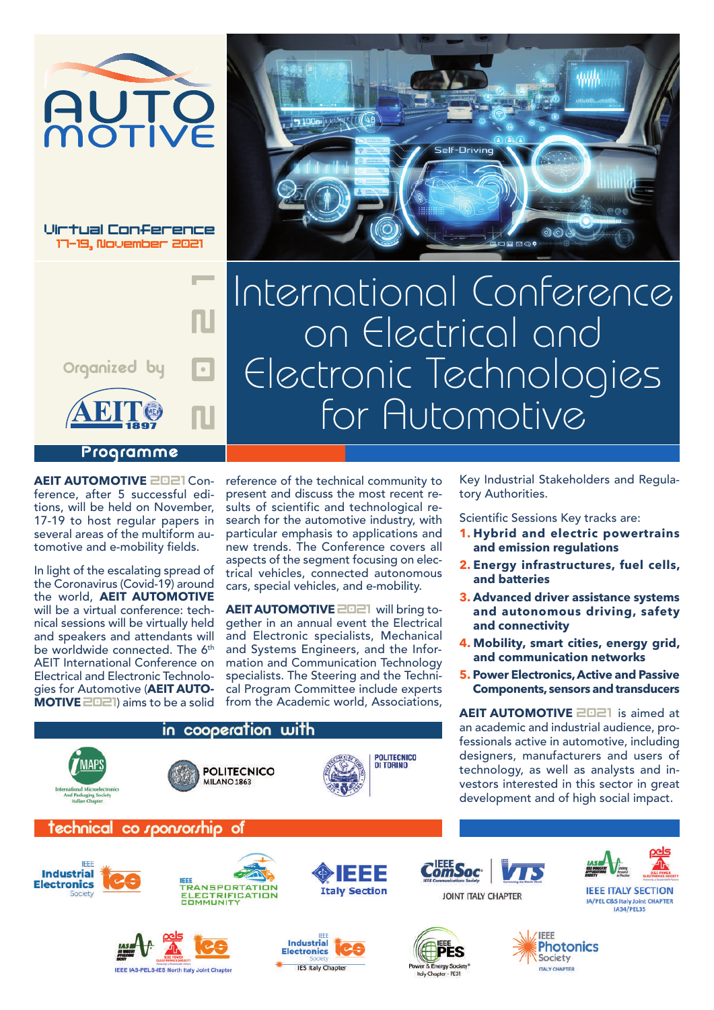

Virtual Conference i<mark>rtual Conferenc</mark><br>17-19. November 2021



International Conference on Electrical and Electronic Technologies for Automotive

.<br>Self-Driving

▁<br>▁▅▝

**AEIT AUTOMOTIVE** 2021 Conference, after 5 successful editions, will be held on November, 17-19 to host regular papers in several areas of the multiform automotive and e-mobility fields.

In light of the escalating spread of the Coronavirus (Covid-19) around the world, **AEIT AUTOMOTIVE** will be a virtual conference: technical sessions will be virtually held and speakers and attendants will be worldwide connected. The 6<sup>th</sup> AEIT International Conference on Electrical and Electronic Technologies for Automotive (**AEIT AUTO-MOTIVE** 2021) aims to be a solid

reference of the technical community to present and discuss the most recent results of scientific and technological research for the automotive industry, with particular emphasis to applications and new trends. The Conference covers all aspects of the segment focusing on electrical vehicles, connected autonomous cars, special vehicles, and e-mobility.

100ml 254 11 48

**AEIT AUTOMOTIVE** 2021 will bring together in an annual event the Electrical and Electronic specialists, Mechanical and Systems Engineers, and the Information and Communication Technology specialists. The Steering and the Technical Program Committee include experts from the Academic world, Associations, Key Industrial Stakeholders and Regulatory Authorities.

Scientific Sessions Key tracks are:

- **1. Hybrid and electric powertrains and emission regulations**
- **2. Energy infrastructures, fuel cells, and batteries**
- **3. Advanced driver assistance systems and autonomous driving, safety and connectivity**
- **4. Mobility, smart cities, energy grid, and communication networks**
- **5. Power Electronics, Active and Passive Components, sensors and transducers**

**AEIT AUTOMOTIVE** 2021 is aimed at an academic and industrial audience, professionals active in automotive, including designers, manufacturers and users of technology, as well as analysts and investors interested in this sector in great development and of high social impact.











**Italy Section** 



ergy Soc

Italy Chapter - PE31





**IEEE ITALY SECTION** 

IA/PEL C&S Italy Joint CHAPTER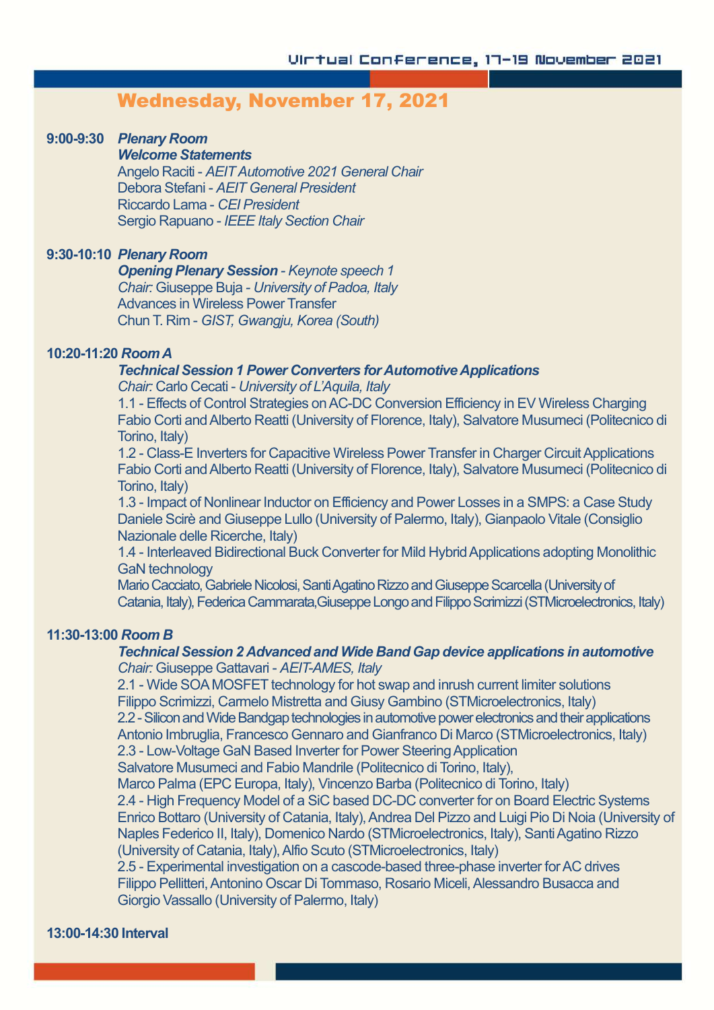# Wednesday, November 17, 2021

#### **9:00-9:30** *Plenary Room*

#### *Welcome Statements*

Angelo Raciti - *AEITAutomotive 2021 General Chair* Debora Stefani - *AEIT General President* Riccardo Lama - *CEI President* Sergio Rapuano - *IEEE Italy Section Chair*

# **9:30-10:10** *Plenary Room*

*Opening Plenary Session - Keynote speech 1 Chair:* Giuseppe Buja *- University of Padoa, Italy* Advances in Wireless Power Transfer Chun T. Rim - *GIST, Gwangju, Korea (South)*

#### **10:20-11:20** *RoomA*

#### *Technical Session 1 Power Converters for Automotive Applications*

*Chair:* Carlo Cecati - *University of L'Aquila, Italy*

1.1 - Effects of Control Strategies onAC-DC Conversion Efficiency in EV Wireless Charging Fabio Corti andAlberto Reatti (University of Florence, Italy), Salvatore Musumeci (Politecnico di Torino, Italy)

1.2 - Class-E Inverters for Capacitive Wireless Power Transfer in Charger Circuit Applications Fabio Corti andAlberto Reatti (University of Florence, Italy), Salvatore Musumeci (Politecnico di Torino, Italy)

1.3 - Impact of Nonlinear Inductor on Efficiency and Power Losses in a SMPS: a Case Study Daniele Scirè and Giuseppe Lullo (University of Palermo, Italy), Gianpaolo Vitale (Consiglio Nazionale delle Ricerche, Italy)

1.4 - Interleaved Bidirectional Buck Converter for Mild Hybrid Applications adopting Monolithic GaN technology

Mario Cacciato, Gabriele Nicolosi, Santi Agatino Rizzo and Giuseppe Scarcella (University of Catania, Italy), Federica Cammarata,Giuseppe Longo and Filippo Scrimizzi (STMicroelectronics, Italy)

#### **11:30-13:00** *Room B*

## *Technical Session 2 Advanced and Wide Band Gap device applications in automotive Chair:* Giuseppe Gattavari - *AEIT-AMES, Italy*

2.1 - Wide SOAMOSFET technology for hot swap and inrush current limiter solutions Filippo Scrimizzi, Carmelo Mistretta and Giusy Gambino (STMicroelectronics, Italy) 2.2 - Silicon and Wide Bandgap technologies in automotive power electronics and their applications Antonio Imbruglia, Francesco Gennaro and Gianfranco Di Marco (STMicroelectronics, Italy) 2.3 - Low-Voltage GaN Based Inverter for Power Steering Application Salvatore Musumeci and Fabio Mandrile (Politecnico di Torino, Italy),

Marco Palma (EPC Europa, Italy), Vincenzo Barba (Politecnico di Torino, Italy)

2.4 - High Frequency Model of a SiC based DC-DC converter for on Board Electric Systems Enrico Bottaro (University of Catania, Italy), Andrea Del Pizzo and Luigi Pio Di Noia (University of Naples Federico II, Italy), Domenico Nardo (STMicroelectronics, Italy), Santi Agatino Rizzo (University of Catania, Italy),Alfio Scuto (STMicroelectronics, Italy)

2.5 - Experimental investigation on a cascode-based three-phase inverter forAC drives Filippo Pellitteri, Antonino Oscar Di Tommaso, Rosario Miceli, Alessandro Busacca and Giorgio Vassallo (University of Palermo, Italy)

#### **13:00-14:30 Interval**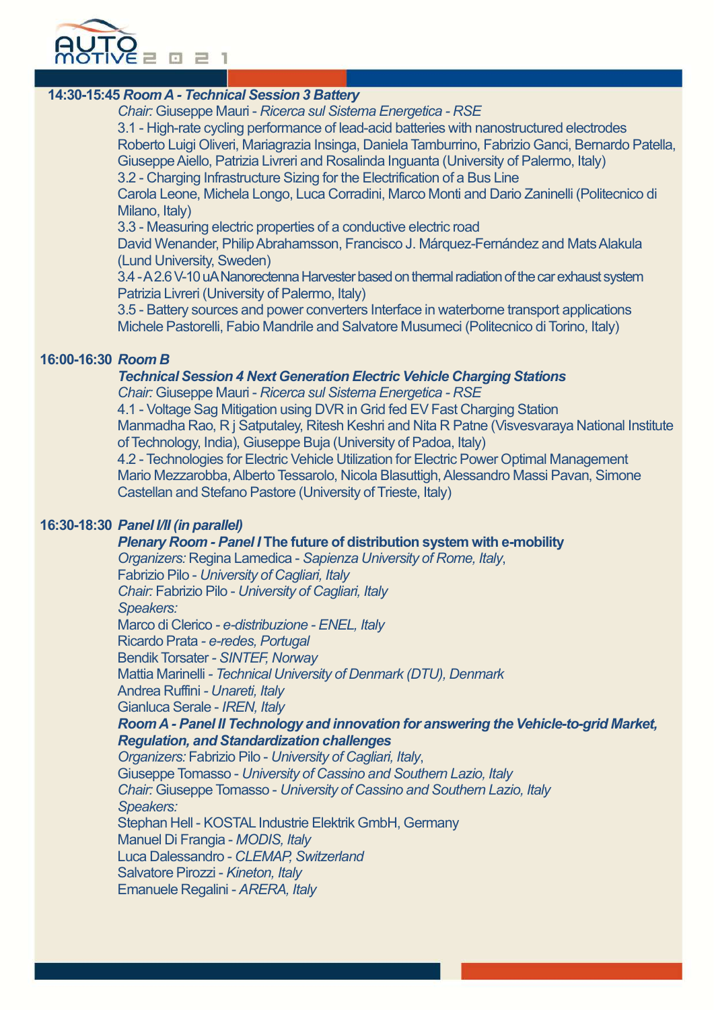

# **14:30-15:45** *RoomA -Technical Session 3 Battery*

*Chair:* Giuseppe Mauri - *Ricerca sul Sistema Energetica - RSE*

3.1 - High-rate cycling performance of lead-acid batteries with nanostructured electrodes Roberto Luigi Oliveri, Mariagrazia Insinga, Daniela Tamburrino, Fabrizio Ganci, Bernardo Patella, GiuseppeAiello, Patrizia Livreri and Rosalinda Inguanta (University of Palermo, Italy)

3.2 - Charging Infrastructure Sizing for the Electrification of a Bus Line

Carola Leone, Michela Longo, Luca Corradini, Marco Monti and Dario Zaninelli (Politecnico di Milano, Italy)

3.3 - Measuring electric properties of a conductive electric road

David Wenander, Philip Abrahamsson, Francisco J. Márquez-Fernández and Mats Alakula (Lund University, Sweden)

3.4 - A 2.6 V-10 uA Nanorectenna Harvester based on thermal radiation of the car exhaust system Patrizia Livreri (University of Palermo, Italy)

3.5 - Battery sources and power converters Interface in waterborne transport applications Michele Pastorelli, Fabio Mandrile and Salvatore Musumeci (Politecnico di Torino, Italy)

# **16:00-16:30** *Room B*

# *Technical Session 4 Next Generation Electric Vehicle Charging Stations*

*Chair:* Giuseppe Mauri - *Ricerca sul Sistema Energetica - RSE*

4.1 - Voltage Sag Mitigation using DVR in Grid fed EV Fast Charging Station Manmadha Rao, R j Satputaley, Ritesh Keshri and Nita R Patne (Visvesvaraya National Institute of Technology, India), Giuseppe Buja (University of Padoa, Italy) 4.2 - Technologies for Electric Vehicle Utilization for Electric Power Optimal Management

Mario Mezzarobba, Alberto Tessarolo, Nicola Blasuttigh, Alessandro Massi Pavan, Simone Castellan and Stefano Pastore (University of Trieste, Italy)

# **16:30-18:30** *Panel I/II (in parallel)*

# *Plenary Room - Panel I* **The future of distribution system with e-mobility**

*Organizers:* Regina Lamedica - *Sapienza University of Rome, Italy*, Fabrizio Pilo - *University of Cagliari, Italy*

*Chair:* Fabrizio Pilo - *University of Cagliari, Italy*

*Speakers:*

Marco di Clerico *- e-distribuzione - ENEL, Italy*

Ricardo Prata *- e-redes, Portugal*

Bendik Torsater *- SINTEF, Norway*

Mattia Marinelli *- Technical University of Denmark (DTU), Denmark*

Andrea Ruffini *- Unareti, Italy*

Gianluca Serale - *IREN, Italy*

# *RoomA - Panel II Technology and innovation for answering the Vehicle-to-grid Market, Regulation, and Standardization challenges*

*Organizers:* Fabrizio Pilo - *University of Cagliari, Italy*,

Giuseppe Tomasso - *University of Cassino and Southern Lazio, Italy Chair:* Giuseppe Tomasso - *University of Cassino and Southern Lazio, Italy Speakers:*

Stephan Hell - KOSTAL Industrie Elektrik GmbH, Germany Manuel Di Frangia - *MODIS, Italy*

Luca Dalessandro - *CLEMAP, Switzerland*

Salvatore Pirozzi - *Kineton, Italy*

Emanuele Regalini - *ARERA, Italy*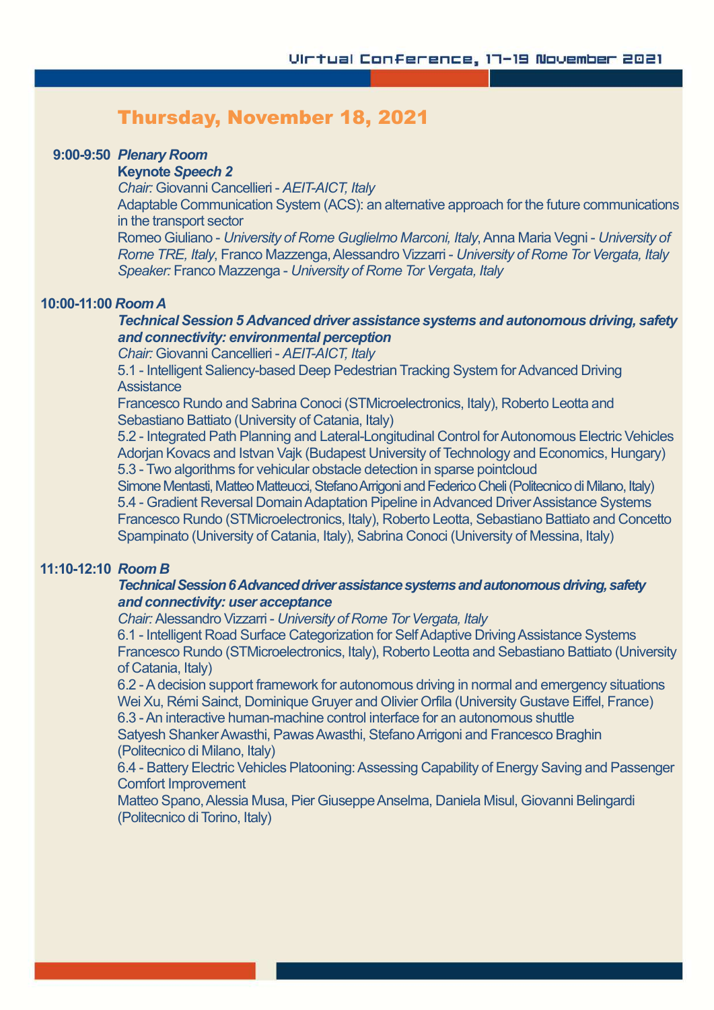# Thursday, November 18, 2021

### **9:00-9:50** *Plenary Room*

#### **Keynote** *Speech 2*

*Chair:* Giovanni Cancellieri - *AEIT-AICT, Italy*

Adaptable Communication System (ACS): an alternative approach for the future communications in the transport sector

Romeo Giuliano - *University of Rome Guglielmo Marconi, Italy*,Anna Maria Vegni - *University of Rome TRE, Italy*, Franco Mazzenga,Alessandro Vizzarri - *University of Rome Tor Vergata, Italy Speaker:* Franco Mazzenga - *University of Rome Tor Vergata, Italy*

#### **10:00-11:00** *Room A*

*Technical Session 5 Advanced driver assistance systems and autonomous driving, safety and connectivity: environmental perception*

*Chair:* Giovanni Cancellieri - *AEIT-AICT, Italy*

5.1 - Intelligent Saliency-based Deep Pedestrian Tracking System for Advanced Driving **Assistance** 

Francesco Rundo and Sabrina Conoci (STMicroelectronics, Italy), Roberto Leotta and Sebastiano Battiato (University of Catania, Italy)

5.2 - Integrated Path Planning and Lateral-Longitudinal Control for Autonomous Electric Vehicles Adorjan Kovacs and Istvan Vajk (Budapest University of Technology and Economics, Hungary) 5.3 - Two algorithms for vehicular obstacle detection in sparse pointcloud

Simone Mentasti, Matteo Matteucci, Stefano Arrigoni and Federico Cheli (Politecnico di Milano, Italy) 5.4 - Gradient Reversal Domain Adaptation Pipeline in Advanced Driver Assistance Systems Francesco Rundo (STMicroelectronics, Italy), Roberto Leotta, Sebastiano Battiato and Concetto Spampinato (University of Catania, Italy), Sabrina Conoci (University of Messina, Italy)

# **11:10-12:10** *Room B*

# **Technical Session 6 Advanced driver assistance systems and autonomous driving, safety** *and connectivity: user acceptance*

*Chair:* Alessandro Vizzarri - *University of Rome Tor Vergata, Italy*

6.1 - Intelligent Road Surface Categorization for Self Adaptive Driving Assistance Systems Francesco Rundo (STMicroelectronics, Italy), Roberto Leotta and Sebastiano Battiato (University of Catania, Italy)

6.2 -Adecision support framework for autonomous driving in normal and emergency situations Wei Xu, Rémi Sainct, Dominique Gruyer and Olivier Orfila (University Gustave Eiffel, France)

6.3 -An interactive human-machine control interface for an autonomous shuttle Satyesh Shanker Awasthi, Pawas Awasthi, Stefano Arrigoni and Francesco Braghin

# (Politecnico di Milano, Italy)

6.4 - Battery Electric Vehicles Platooning:Assessing Capability of Energy Saving and Passenger Comfort Improvement

Matteo Spano, Alessia Musa, Pier Giuseppe Anselma, Daniela Misul, Giovanni Belingardi (Politecnico di Torino, Italy)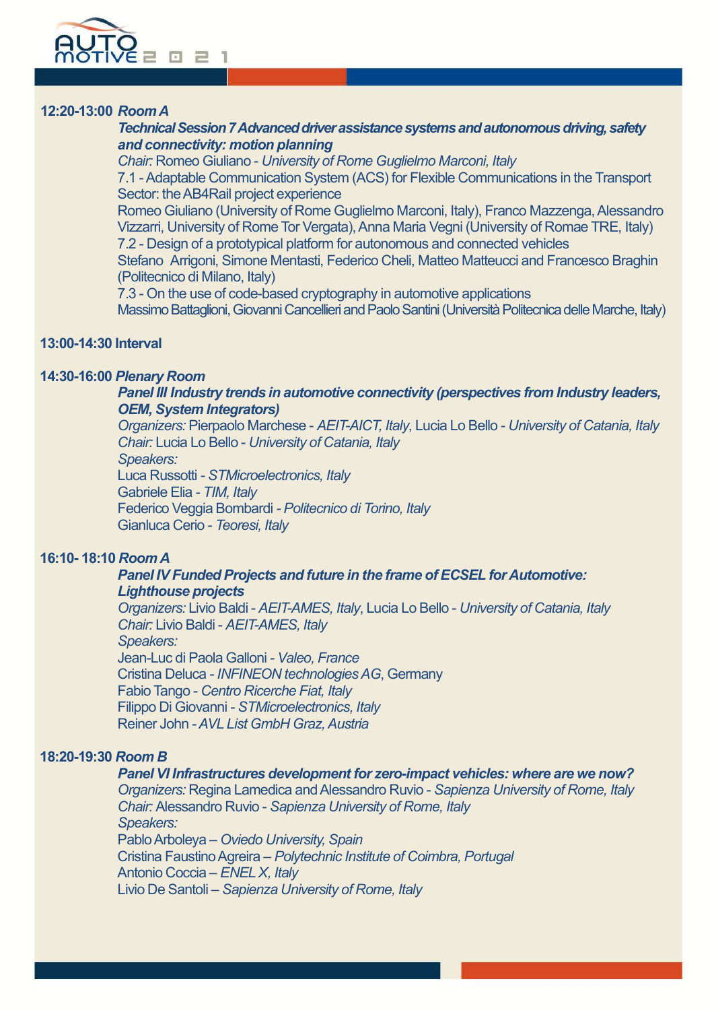

# **12:20-13:00** *RoomA*

**Technical Session 7 Advanced driver assistance systems and autonomous driving, safety** *and connectivity: motion planning*

*Chair:* Romeo Giuliano - *University of Rome Guglielmo Marconi, Italy*

7.1 -Adaptable Communication System (ACS) for Flexible Communications in the Transport Sector: the AB4Rail project experience

Romeo Giuliano (University of Rome Guglielmo Marconi, Italy), Franco Mazzenga, Alessandro Vizzarri, University of Rome Tor Vergata), Anna Maria Vegni (University of Romae TRE, Italy) 7.2 - Design of a prototypical platform for autonomous and connected vehicles

Stefano Arrigoni, Simone Mentasti, Federico Cheli, Matteo Matteucci and Francesco Braghin (Politecnico di Milano, Italy)

7.3 - On the use of code-based cryptography in automotive applications Massimo Battaglioni, Giovanni Cancellieri and Paolo Santini (Università Politecnica delle Marche, Italy)

# **13:00-14:30 Interval**

# **14:30-16:00** *Plenary Room*

## *Panel III Industry trends in automotive connectivity (perspectives from Industry leaders, OEM, System Integrators)*

*Organizers:* Pierpaolo Marchese - *AEIT-AICT,Italy*, Lucia Lo Bello - *University of Catania, Italy Chair:* Lucia Lo Bello - *University of Catania, Italy Speakers:* Luca Russotti *- STMicroelectronics, Italy*

Gabriele Elia *- TIM, Italy*

Federico Veggia Bombardi *- Politecnico di Torino, Italy* Gianluca Cerio - *Teoresi, Italy*

# **16:10- 18:10** *Room A*

#### *Panel IV Funded Projects and future in the frame of ECSEL forAutomotive: Lighthouse projects*

*Organizers:* Livio Baldi - *AEIT-AMES, Italy*, Lucia Lo Bello - *University of Catania, Italy Chair:* Livio Baldi - *AEIT-AMES, Italy Speakers:* Jean-Luc di Paola Galloni *- Valeo, France* Cristina Deluca *- INFINEON technologiesAG*, Germany Fabio Tango - *Centro Ricerche Fiat, Italy* Filippo Di Giovanni *- STMicroelectronics, Italy* Reiner John *-AVL List GmbH Graz,Austria*

#### **18:20-19:30** *Room B*

# *Panel VI Infrastructures development for zero-impact vehicles: where are we now?*

*Organizers:* Regina Lamedica andAlessandro Ruvio - *Sapienza University of Rome, Italy Chair:* Alessandro Ruvio - *Sapienza University of Rome, Italy Speakers:* PabloArboleya – *Oviedo University, Spain* Cristina FaustinoAgreira – *Polytechnic Institute of Coimbra, Portugal* Antonio Coccia – *ENELX, Italy* Livio De Santoli – *Sapienza University of Rome, Italy*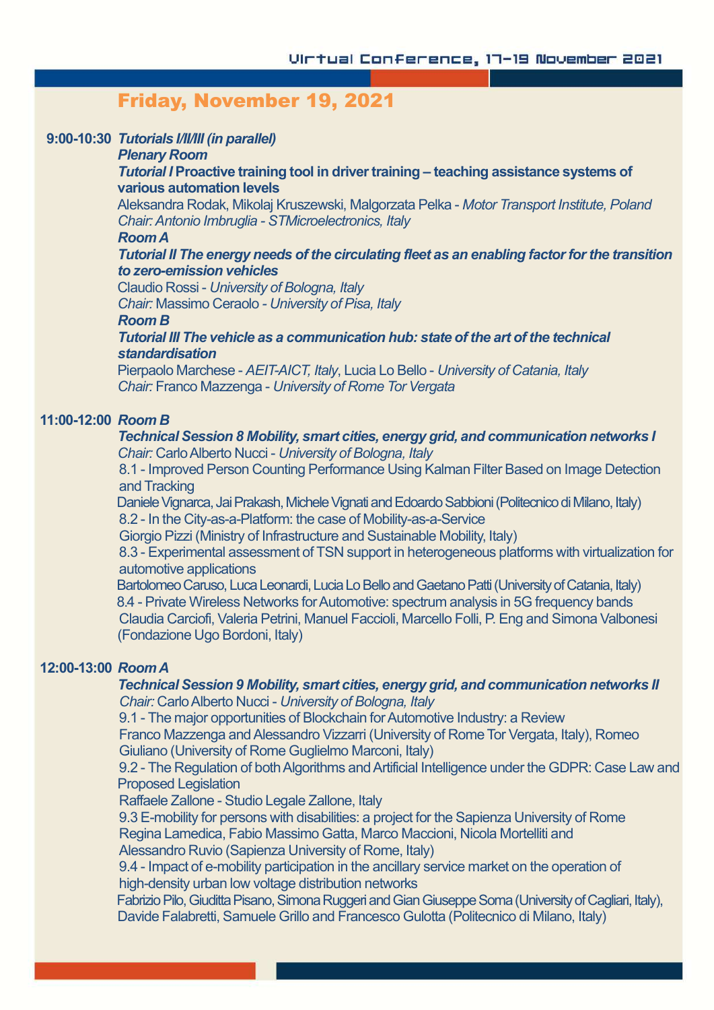# Friday, November 19, 2021

#### **9:00-10:30** *Tutorials I/II/III (in parallel)*

#### *Plenary Room*

#### *Tutorial I* **Proactive training tool in drivertraining – teaching assistance systems of various automation levels**

Aleksandra Rodak, Mikolaj Kruszewski, Malgorzata Pelka - *Motor Transport Institute, Poland Chair:Antonio Imbruglia - STMicroelectronics, Italy*

#### *RoomA*

## *Tutorial II The energy needs of the circulating fleet as an enabling factorforthe transition to zero-emission vehicles*

Claudio Rossi - *University of Bologna, Italy*

*Chair:* Massimo Ceraolo *- University of Pisa, Italy*

#### *Room B*

# *Tutorial III The vehicle as a communication hub: state of the art of the technical standardisation*

**Pierpaolo Marchese - AEIT-AICT, Italy, Lucia Lo Bello - University of Catania, Italy** *Chair:* Franco Mazzenga - *University of Rome Tor Vergata*

# **11:00-12:00** *Room B*

## *Technical Session 8 Mobility, smart cities, energy grid, and communication networks I Chair:* CarloAlberto Nucci - *University of Bologna, Italy*

8.1 - Improved Person Counting Performance Using Kalman Filter Based on Image Detection and Tracking

Daniele Vignarca, Jai Prakash, Michele Vignati and Edoardo Sabbioni (Politecnico di Milano, Italy) 8.2 - In the City-as-a-Platform: the case of Mobility-as-a-Service

Giorgio Pizzi (Ministry of Infrastructure and Sustainable Mobility, Italy)

8.3 - Experimental assessment of TSN support in heterogeneous platforms with virtualization for automotive applications

Bartolomeo Caruso, Luca Leonardi, Lucia Lo Bello and Gaetano Patti (University of Catania, Italy) 8.4 - Private Wireless Networks for Automotive: spectrum analysis in 5G frequency bands Claudia Carciofi, Valeria Petrini, Manuel Faccioli, Marcello Folli, P. Eng and Simona Valbonesi (Fondazione Ugo Bordoni, Italy)

## **12:00-13:00** *RoomA*

#### *Technical Session 9 Mobility, smart cities, energy grid, and communication networks II Chair:* CarloAlberto Nucci - *University of Bologna, Italy*

9.1 - The major opportunities of Blockchain for Automotive Industry: a Review

Franco Mazzenga andAlessandro Vizzarri (University of Rome Tor Vergata, Italy), Romeo Giuliano (University of Rome Guglielmo Marconi, Italy)

9.2 - The Regulation of both Algorithms and Artificial Intelligence under the GDPR: Case Law and Proposed Legislation

Raffaele Zallone - Studio Legale Zallone, Italy

9.3 E-mobility for persons with disabilities: a project for the Sapienza University of Rome Regina Lamedica, Fabio Massimo Gatta, Marco Maccioni, Nicola Mortelliti and Alessandro Ruvio (Sapienza University of Rome, Italy)

9.4 - Impact of e-mobility participation in the ancillary service market on the operation of high-density urban low voltage distribution networks

Fabrizio Pilo, Giuditta Pisano, Simona Ruggeri and Gian Giuseppe Soma (University of Cagliari, Italy), Davide Falabretti, Samuele Grillo and Francesco Gulotta (Politecnico di Milano, Italy)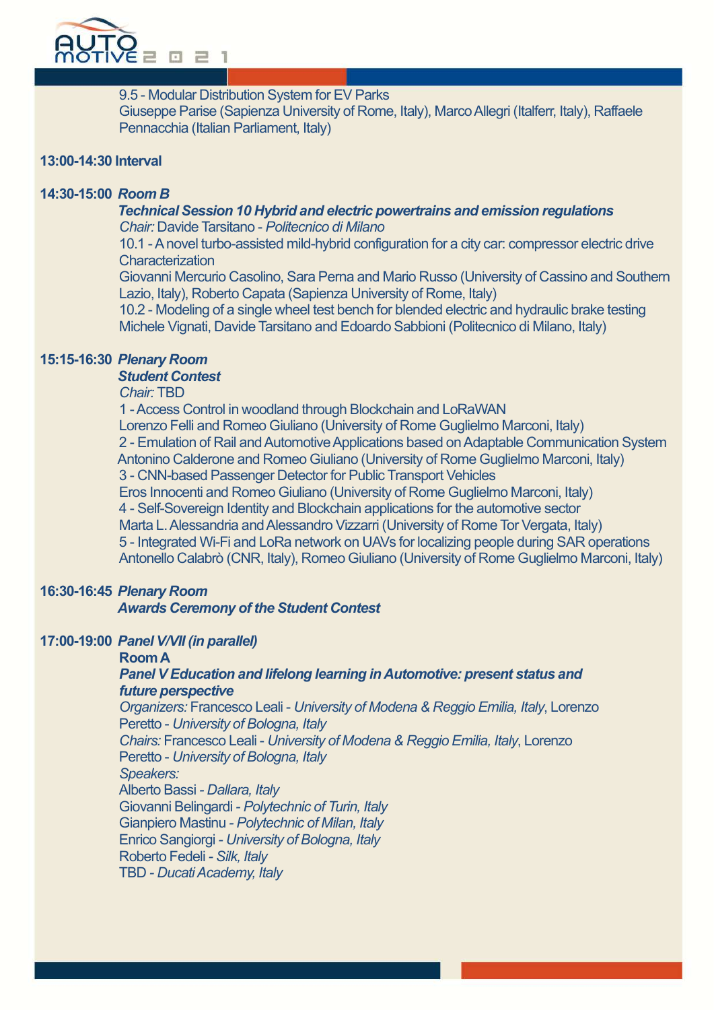

9.5 - Modular Distribution System for EV Parks

Giuseppe Parise (Sapienza University of Rome, Italy), Marco Allegri (Italferr, Italy), Raffaele Pennacchia (Italian Parliament, Italy)

## **13:00-14:30 Interval**

# **14:30-15:00** *Room B*

#### *Technical Session 10 Hybrid and electric powertrains and emission regulations Chair:* Davide Tarsitano - *Politecnico di Milano*

10.1 - A novel turbo-assisted mild-hybrid configuration for a city car: compressor electric drive **Characterization** 

Giovanni Mercurio Casolino, Sara Perna and Mario Russo (University of Cassino and Southern Lazio, Italy), Roberto Capata (Sapienza University of Rome, Italy)

10.2 - Modeling of a single wheel test bench for blended electric and hydraulic brake testing Michele Vignati, Davide Tarsitano and Edoardo Sabbioni (Politecnico di Milano, Italy)

# **15:15-16:30** *Plenary Room*

# *Student Contest*

#### *Chair:* TBD

1 -Access Control in woodland through Blockchain and LoRaWAN Lorenzo Felli and Romeo Giuliano (University of Rome Guglielmo Marconi, Italy) 2 - Emulation of Rail and Automotive Applications based on Adaptable Communication System Antonino Calderone and Romeo Giuliano (University of Rome Guglielmo Marconi, Italy) 3 - CNN-based Passenger Detector for Public Transport Vehicles Eros Innocenti and Romeo Giuliano (University of Rome Guglielmo Marconi, Italy) 4 - Self-Sovereign Identity and Blockchain applications for the automotive sector Marta L. Alessandria and Alessandro Vizzarri (University of Rome Tor Vergata, Italy) 5 - Integrated Wi-Fi and LoRa network on UAVs for localizing people during SAR operations Antonello Calabrò (CNR, Italy), Romeo Giuliano (University of Rome Guglielmo Marconi, Italy)

# **16:30-16:45** *Plenary Room*

#### *Awards Ceremony of the Student Contest*

#### **17:00-19:00** *Panel V/VII (in parallel)*

#### **RoomA**

#### *Panel V Education and lifelong learning in Automotive: present status and future perspective*

*Organizers:* Francesco Leali - *University of Modena & Reggio Emilia, Italy*, Lorenzo Peretto - *University of Bologna, Italy*

*Chairs:* Francesco Leali - *University of Modena & Reggio Emilia, Italy*, Lorenzo Peretto - *University of Bologna, Italy*

#### *Speakers:*

Alberto Bassi *- Dallara, Italy* Giovanni Belingardi *- Polytechnic of Turin, Italy*

Gianpiero Mastinu *- Polytechnic of Milan, Italy* Enrico Sangiorgi *- University of Bologna, Italy* Roberto Fedeli *- Silk, Italy*

TBD *- DucatiAcademy, Italy*